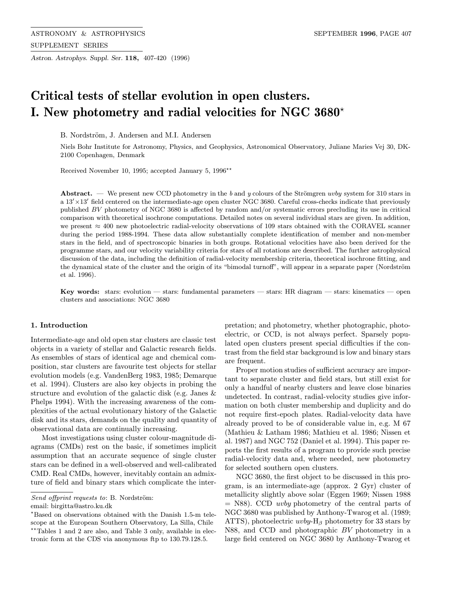Astron. Astrophys. Suppl. Ser. 118, 407-420 (1996)

# Critical tests of stellar evolution in open clusters. I. New photometry and radial velocities for NGC 3680 $^{\star}$

B. Nordström, J. Andersen and M.I. Andersen

Niels Bohr Institute for Astronomy, Physics, and Geophysics, Astronomical Observatory, Juliane Maries Vej 30, DK-2100 Copenhagen, Denmark

Received November 10, 1995; accepted January 5, 1996<sup>\*\*</sup>

Abstract. — We present new CCD photometry in the b and y colours of the Strömgren uvby system for 310 stars in  $a 13' \times 13'$  field centered on the intermediate-age open cluster NGC 3680. Careful cross-checks indicate that previously published BV photometry of NGC 3680 is affected by random and/or systematic errors precluding its use in critical comparison with theoretical isochrone computations. Detailed notes on several individual stars are given. In addition, we present ≈ 400 new photoelectric radial-velocity observations of 109 stars obtained with the CORAVEL scanner during the period 1988-1994. These data allow substantially complete identification of member and non-member stars in the field, and of spectroscopic binaries in both groups. Rotational velocities have also been derived for the programme stars, and our velocity variability criteria for stars of all rotations are described. The further astrophysical discussion of the data, including the definition of radial-velocity membership criteria, theoretical isochrone fitting, and the dynamical state of the cluster and the origin of its "bimodal turnoff", will appear in a separate paper (Nordström et al. 1996).

Key words: stars: evolution — stars: fundamental parameters — stars: HR diagram — stars: kinematics — open clusters and associations: NGC 3680

## 1. Introduction

Intermediate-age and old open star clusters are classic test objects in a variety of stellar and Galactic research fields. As ensembles of stars of identical age and chemical composition, star clusters are favourite test objects for stellar evolution models (e.g. VandenBerg 1983, 1985; Demarque et al. 1994). Clusters are also key objects in probing the structure and evolution of the galactic disk (e.g. Janes & Phelps 1994). With the increasing awareness of the complexities of the actual evolutionary history of the Galactic disk and its stars, demands on the quality and quantity of observational data are continually increasing.

Most investigations using cluster colour-magnitude diagrams (CMDs) rest on the basic, if sometimes implicit assumption that an accurate sequence of single cluster stars can be defined in a well-observed and well-calibrated CMD. Real CMDs, however, inevitably contain an admixture of field and binary stars which complicate the inter-

email: birgitta@astro.ku.dk

pretation; and photometry, whether photographic, photoelectric, or CCD, is not always perfect. Sparsely populated open clusters present special difficulties if the contrast from the field star background is low and binary stars are frequent.

Proper motion studies of sufficient accuracy are important to separate cluster and field stars, but still exist for only a handful of nearby clusters and leave close binaries undetected. In contrast, radial-velocity studies give information on both cluster membership and duplicity and do not require first-epoch plates. Radial-velocity data have already proved to be of considerable value in, e.g. M 67 (Mathieu & Latham 1986; Mathieu et al. 1986; Nissen et al. 1987) and NGC 752 (Daniel et al. 1994). This paper reports the first results of a program to provide such precise radial-velocity data and, where needed, new photometry for selected southern open clusters.

NGC 3680, the first object to be discussed in this program, is an intermediate-age (approx. 2 Gyr) cluster of metallicity slightly above solar (Eggen 1969; Nissen 1988  $=$  N88). CCD *uvby* photometry of the central parts of NGC 3680 was published by Anthony-Twarog et al. (1989; ATTS), photoelectric  $uvby-H_{\beta}$  photometry for 33 stars by N88, and CCD and photographic BV photometry in a large field centered on NGC 3680 by Anthony-Twarog et

Send offprint requests to: B. Nordström:

<sup>?</sup>Based on observations obtained with the Danish 1.5-m telescope at the European Southern Observatory, La Silla, Chile \*\*Tables 1 and 2 are also, and Table 3 only, available in electronic form at the CDS via anonymous ftp to 130.79.128.5.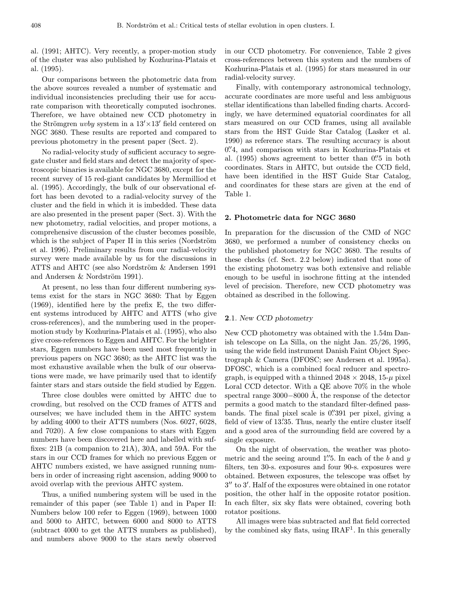al. (1991; AHTC). Very recently, a proper-motion study of the cluster was also published by Kozhurina-Platais et al. (1995).

Our comparisons between the photometric data from the above sources revealed a number of systematic and individual inconsistencies precluding their use for accurate comparison with theoretically computed isochrones. Therefore, we have obtained new CCD photometry in the Strömgren *uvby* system in a  $13' \times 13'$  field centered on NGC 3680. These results are reported and compared to previous photometry in the present paper (Sect. 2).

No radial-velocity study of sufficient accuracy to segregate cluster and field stars and detect the majority of spectroscopic binaries is available for NGC 3680, except for the recent survey of 15 red-giant candidates by Mermilliod et al. (1995). Accordingly, the bulk of our observational effort has been devoted to a radial-velocity survey of the cluster and the field in which it is imbedded. These data are also presented in the present paper (Sect. 3). With the new photometry, radial velocities, and proper motions, a comprehensive discussion of the cluster becomes possible, which is the subject of Paper II in this series (Nordström et al. 1996). Preliminary results from our radial-velocity survey were made available by us for the discussions in ATTS and AHTC (see also Nordström  $&$  Andersen 1991 and Andersen  $&$  Nordström 1991).

At present, no less than four different numbering systems exist for the stars in NGC 3680: That by Eggen (1969), identified here by the prefix E, the two different systems introduced by AHTC and ATTS (who give cross-references), and the numbering used in the propermotion study by Kozhurina-Platais et al. (1995), who also give cross-references to Eggen and AHTC. For the brighter stars, Eggen numbers have been used most frequently in previous papers on NGC 3680; as the AHTC list was the most exhaustive available when the bulk of our observations were made, we have primarily used that to identify fainter stars and stars outside the field studied by Eggen.

Three close doubles were omitted by AHTC due to crowding, but resolved on the CCD frames of ATTS and ourselves; we have included them in the AHTC system by adding 4000 to their ATTS numbers (Nos. 6027, 6028, and 7020). A few close companions to stars with Eggen numbers have been discovered here and labelled with suffixes: 21B (a companion to 21A), 30A, and 59A. For the stars in our CCD frames for which no previous Eggen or AHTC numbers existed, we have assigned running numbers in order of increasing right ascension, adding 9000 to avoid overlap with the previous AHTC system.

Thus, a unified numbering system will be used in the remainder of this paper (see Table 1) and in Paper II: Numbers below 100 refer to Eggen (1969), between 1000 and 5000 to AHTC, between 6000 and 8000 to ATTS (subtract 4000 to get the ATTS numbers as published), and numbers above 9000 to the stars newly observed

in our CCD photometry. For convenience, Table 2 gives cross-references between this system and the numbers of Kozhurina-Platais et al. (1995) for stars measured in our radial-velocity survey.

Finally, with contemporary astronomical technology, accurate coordinates are more useful and less ambiguous stellar identifications than labelled finding charts. Accordingly, we have determined equatorial coordinates for all stars measured on our CCD frames, using all available stars from the HST Guide Star Catalog (Lasker et al. 1990) as reference stars. The resulting accuracy is about 0.<sup>7</sup>4, and comparison with stars in Kozhurina-Platais et al.  $(1995)$  shows agreement to better than  $0\rlap{.}^{\prime\prime}5$  in both coordinates. Stars in AHTC, but outside the CCD field, have been identified in the HST Guide Star Catalog, and coordinates for these stars are given at the end of Table 1.

## 2. Photometric data for NGC 3680

In preparation for the discussion of the CMD of NGC 3680, we performed a number of consistency checks on the published photometry for NGC 3680. The results of these checks (cf. Sect. 2.2 below) indicated that none of the existing photometry was both extensive and reliable enough to be useful in isochrone fitting at the intended level of precision. Therefore, new CCD photometry was obtained as described in the following.

# 2.1. New CCD photometry

New CCD photometry was obtained with the 1.54m Danish telescope on La Silla, on the night Jan. 25/26, 1995, using the wide field instrument Danish Faint Object Spectrograph & Camera (DFOSC; see Andersen et al. 1995a). DFOSC, which is a combined focal reducer and spectrograph, is equipped with a thinned  $2048 \times 2048$ ,  $15-\mu$  pixel Loral CCD detector. With a QE above 70% in the whole spectral range  $3000-8000$  Å, the response of the detector permits a good match to the standard filter-defined passbands. The final pixel scale is 0.  $\frac{0.0391}{0.0191}$  per pixel, giving a field of view of 13.'35. Thus, nearly the entire cluster itself and a good area of the surrounding field are covered by a single exposure.

On the night of observation, the weather was photometric and the seeing around 1. $5$ . In each of the b and y filters, ten 30-s. exposures and four 90-s. exposures were obtained. Between exposures, the telescope was offset by  $3''$  to  $3'$ . Half of the exposures were obtained in one rotator position, the other half in the opposite rotator position. In each filter, six sky flats were obtained, covering both rotator positions.

All images were bias subtracted and flat field corrected by the combined sky flats, using  $IRAF<sup>1</sup>$ . In this generally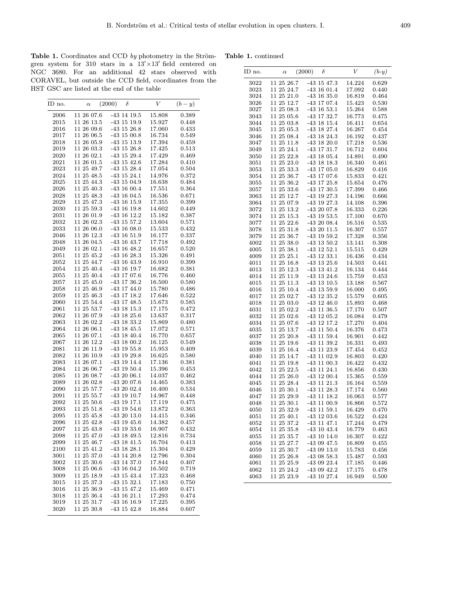Table 1. continued

Table 1. Coordinates and CCD  $by$  photometry in the Strömgren system for 310 stars in a  $13' \times 13'$  field centered on NGC 3680. For an additional 42 stars observed with CORAVEL, but outside the CCD field, coordinates from the HST GSC are listed at the end of the table

| ID no. | $\alpha$       | (2000) | $\delta$        | V      | $(b-y)$     |
|--------|----------------|--------|-----------------|--------|-------------|
| 2006   | 11 26 07.6     |        | $-43$ 14 19.5   | 15.808 | 0.389       |
| 2015   | 11 26 13.5     |        | $-43$ 15 19.9   | 15.927 | 0.448       |
| 2016   | 11 26 09.6     |        | $-43$ 15 26.8   | 17.060 | 0.433       |
| 2017   | 11 26 06.5     |        | $-43$ 15 00.8   | 16.734 | 0.549       |
| 2018   | 11 26 05.9     |        | $-43$ 15 13.9   | 17.394 | 0.459       |
| 2019   | 11 26 03.3     |        | $-43$ 15 26.8   | 17.425 | 0.513       |
| 2020   | 11 26 02.1     |        | $-43$ 15 29.4   | 17.429 | 0.469       |
| 2021   | 11 26 01.5     |        | $-43$ 15 $42.6$ | 17.284 | 0.410       |
| 2023   | 11 25 49.7     |        | $-43$ 15 28.4   | 17.054 | 0.504       |
| 2024   | 11 25 48.5     |        | $-43$ 15 24.1   | 14.976 | 0.372       |
| 2025   | 11 25 44.3     |        | $-43$ 15 04.9   | 16.638 | 0.484       |
| 2026   | $11\ 25\ 40.3$ |        | $-43$ 16 00.4   | 17.551 | 0.364       |
| 2028   | 11 25 48.3     |        | $-43$ 16 04.5   | 16.536 | 0.671       |
| 2029   | 11 25 47.3     |        | $-43$ 16 15.9   | 17.355 | 0.399       |
| 2030   | 11 25 59.3     |        | $-43$ 16 19.8   | 14.602 | 0.449       |
| 2031   | $11\ 26\ 01.9$ |        | $-43$ 16 12.2   | 15.182 | 0.387       |
| 2032   | 11 26 02.3     |        | $-43$ 15 57.2   | 13.604 | 0.571       |
| 2033   | 11 26 06.0     |        | $-43$ 16 08.0   | 15.533 | 0.432       |
| 2046   | 11 26 12.3     |        | $-43$ 16 51.9   | 16.177 | 0.337       |
| 2048   | 11 26 04.5     |        | $-43$ 16 $43.7$ | 17.718 | 0.492       |
| 2049   | 11 26 02.1     |        | $-43$ 16 $48.2$ | 16.657 | 0.520       |
| 2051   | 11 25 45.2     |        | $-43$ 16 28.3   | 15.326 | 0.491       |
| 2052   | 11 25 44.7     |        | $-43$ 16 $43.9$ | 16.910 | 0.399       |
| 2054   | 11 25 40.4     |        | $-43$ 16 19.7   | 16.682 | 0.381       |
| 2055   | 11 25 40.4     |        | $-43$ 17 07.6   | 16.776 | 0.460       |
| 2057   | 11 25 45.0     |        | $-43$ 17 36.2   | 16.500 | 0.580       |
| 2058   | 11 25 46.9     |        | $-43$ 17 $44.0$ | 15.780 | 0.486       |
| 2059   | 11 25 46.3     |        | $-43$ 17 18.2   | 17.646 | 0.522       |
| 2060   | 11 25 54.4     |        | $-43$ 17 $48.5$ | 15.673 | 0.585       |
| 2061   | 11 25 53.7     |        | $-43$ 18 15.3   | 17.175 | 0.472       |
| 2062   | 11 26 07.9     |        | $-43$ 18 $25.6$ | 13.637 | 0.317       |
| 2063   | 11 26 02.2     |        | $-43$ 18 33.2   | 15.869 | 0.480       |
| 2064   | 11 26 06.1     |        | $-43$ 18 $45.5$ | 17.072 | 0.571       |
| 2065   | $11\ 26\ 07.1$ |        | $-43$ 18 $40.4$ | 16.770 | 0.657       |
| 2067   | 11 26 12.2     |        | $-43$ 18 00.2   | 16.125 | 0.549       |
| 2081   | 11 26 11.9     |        | $-43$ 19 55.8   | 15.953 | 0.409       |
| 2082   | $11\ 26\ 10.9$ |        | $-43$ 19 29.8   | 16.625 | 0.580       |
| 2083   | 11 26 07.1     |        | -43 19 14.4     | 17.136 | 0.381       |
| 2084   | 11 26 06.7     |        | $-43$ 19 50.4   | 15.396 | 0.453       |
| 2085   | 11 26 08.7     |        | $-432006.1$     | 14.037 | 0.462       |
| 2089   | 11 26 02.8     |        | $-432007.6$     | 14.465 | 0.383       |
| 2090   | 11 25 57.7     |        | $-432002.4$     | 16.400 | 0.534       |
| 2091   | 11 25 55.7     |        | $-43$ 19 10.7   | 14.967 | 0.448       |
| 2092   | $11\ 25\ 50.6$ |        | $-43$ 19 17.1   | 17.119 | 0.475       |
| 2093   | 11 25 51.8     |        | $-43$ 19 54.6   | 13.872 | 0.363       |
| 2095   | 11 25 45.8     |        | $-432013.0$     | 14.415 | 0.346       |
| 2096   | 11 25 42.8     |        | $-43$ 19 $45.6$ | 14.382 | 0.457       |
| 2097   | 11 25 43.8     |        | $-43$ 19 33.6   | 16.907 | 0.432       |
| 2098   | 11 25 47.0     |        | -43 18 49.5     | 12.816 | 0.734       |
| 2099   | 11 25 46.7     |        | $-43$ 18 $41.5$ | 16.704 | 0.413       |
| 2100   | 11 25 41.2     |        | $-43$ 18 28.1   | 15.304 | $\,0.429\,$ |
| 3001   | 11 25 37.0     |        | $-43$ 14 20.8   | 12.796 | 0.304       |
| 3002   | 11 25 30.6     |        | $-43$ 14 37.0   | 17.844 | 0.407       |
| 3008   | 11 25 06.6     |        | $-43$ 16 04.2   | 16.502 | 0.719       |
| 3009   | $11\ 25\ 18.9$ |        | $-43$ 15 $43.4$ | 17.323 | 0.468       |
| 3015   | 11 25 37.3     |        | $-43$ 15 32.1   | 17.183 | 0.750       |
| 3016   | 11 25 36.9     |        | $-43$ 15 $47.2$ | 15.469 | 0.471       |
| 3018   | 11 25 36.4     |        | $-43$ 16 $21.1$ | 17.293 | 0.474       |
| 3019   | 11 25 31.7     |        | $-43$ 16 16.9   | 17.225 | 0.395       |
| 3020   | 11 25 30.8     |        | $-43$ 15 $42.8$ | 16.884 | 0.607       |
|        |                |        |                 |        |             |

| ID no.       | $\alpha$                 | (2000) | δ                              | V                | $(b-y)$        |
|--------------|--------------------------|--------|--------------------------------|------------------|----------------|
| 3022         | 11 25 26.7               |        | $-43$ 15 47.3                  | 14.224           | 0.629          |
| 3023         | 11 25 24.7               |        | $-43$ 16 01.4                  | 17.092           | 0.440          |
| 3024         | 11 25 21.0               |        | $-43$ 16 35.0                  | 16.819           | 0.464          |
| 3026         | 11 25 12.7               |        | $-43$ 17 07.4                  | 15.423           | 0.530          |
| 3027         | 11 25 08.3               |        | $-43$ 16 53.1                  | 15.264           | 0.588          |
| 3043         | 11 25 05.6               |        | $-43$ 17 32.7                  | 16.773           | 0.475          |
| 3044         | 11 25 03.8               |        | $-43$ 18 15.4                  | 16.411           | 0.654          |
| 3045         | $11\ 25\ 05.3$           |        | $-43$ 18 27.4                  | 16.267           | 0.454          |
| 3046         | 11 25 08.4               |        | $-43$ 18 24.3                  | 16.192           | 0.437          |
| 3047         | $11\ 25\ 11.8$           |        | $-43$ 18 20.0                  | 17.218           | 0.536          |
| 3049         | 11 25 24.1               |        | $-43$ 17 31.7                  | 16.712           | 0.604          |
| 3050         | 11 25 22.8               |        | $-43$ 18 05.4                  | 14.891           | 0.490          |
| 3051         | 11 25 23.0               |        | $-43$ 18 18.3                  | 16.340           | 0.461          |
| 3053         | 11 25 33.3               |        | $-43$ 17 05.0                  | 16.829           | 0.416          |
| 3054         | 11 25 36.7               |        | $-43$ 17 07.6                  | 15.833           | 0.421          |
| 3055         | 11 25 36.2               |        | $-43$ 17 $25.8$                | 15.654           | 0.476          |
| 3057         | 11 25 33.6               |        | $-43$ 17 30.5                  | 17.399           | 0.466          |
| 3063         | 11 25 12.7               |        | $-43$ 19 27.3                  | 14.196           | 0.666          |
| 3064         | 11 25 07.9               |        | $-43$ 19 27.3                  | 14.108           | 0.396          |
| 3072         | $11\ 25\ 13.2$           |        | $-432007.8$                    | 16.333           | 0.226          |
| 3074         | 11 25 15.3               |        | $-43$ 19 53.5                  | 17.100           | 0.670          |
| 3077         | 11 25 22.6               |        | $-432008.4$                    | 16.516           | 0.535          |
| 3078         | 11 25 31.8               |        | $-432011.5$                    | 16.307           | 0.557          |
| 3079         | $11\ 25\ 36.7$           |        | $-43$ 19 59.2                  | 17.328           | 0.356          |
| 4002         | $11\ 25\ 38.0$           |        | $-43$ 13 50.2                  | 13.141           | 0.308          |
| 4005         | 11 25 38.1               |        | $-43$ 12 52.1                  | 15.515           | 0.429          |
| 4009         | 11 25 25.1               |        | $-43$ 12 33.1                  | 16.436           | 0.434          |
| 4011         | $11\ 25\ 16.8$           |        | $-43$ 13 25.6                  | 14.503           | 0.441          |
| 4013         | 11 25 12.3               |        | $-43$ 13 $41.2$                | $16.134\,$       | 0.444          |
| 4014         | $11\ 25\ 11.9$           |        | $-43$ 13 24.6                  | 15.759           | 0.453          |
| 4015         | 11 25 11.3               |        | $-43$ 13 10.5                  | 13.188           | 0.567          |
| 4016         | 11 25 10.4               |        | $-43$ 13 59.9                  | 16.000           | 0.495          |
| 4017         | 11 25 02.7               |        | $-43$ 12 35.2                  | 15.579           | 0.605          |
| 4018         | 11 25 03.0               |        | $-43$ 12 46.0                  | 15.893           | 0.468          |
| 4031         | 11 25 02.2               |        | $-43$ 11 36.5                  | 17.170           | 0.507          |
| 4032         | $11\ 25\ 02.6$           |        | $-43$ 12 05.2                  | 16.084           | 0.479          |
| 4034         | $11\ 25\ 07.6$           |        | -43 12 17.2                    | 17.270           | 0.404          |
| 4035         | $11\ 25\ 13.7$           |        | $-43$ 11 50.4                  | 16.376           | 0.473          |
| 4037         | 11 25 20.8               |        | $-43$ 11 59.4                  | 16.901           | 0.442          |
| 4038         | 11 25 19.6               |        | $-43$ 11 39.2                  | 16.331           | 0.493          |
| 4039         | 11 25 16.4               |        | $-43$ 11 23.9                  | 17.454           | 0.452          |
| 4040         | 11 25 14.7               |        | $-43$ 11 02.9                  | 16.803           | 0.420          |
| 4041         | 11 25 19.8               |        | $-43$ 11 00.3                  | 16.422           | 0.432          |
| 4042         | 11 25 22.5               |        | $-43$ 11 24.1                  | 16.856           | 0.430          |
| 4044         | 11 25 26.0               |        | $-43$ 12 00.4                  | 15.365           | 0.559          |
| 4045         | 11 25 28.4               |        | $-43$ 11 $21.3$                | 16.164           | 0.559          |
| 4046<br>4047 | 11 25 30.1<br>11 25 29.9 |        | $-43$ 11 28.3<br>$-43$ 11 18.2 | 17.174           | 0.560          |
|              |                          |        | $-43$ 11 00.9                  | 16.063           | 0.577          |
| 4048         | 11 25 30.1<br>11 25 32.9 |        |                                | 16.866<br>16.429 | $\,0.572\,$    |
| 4050<br>4051 | 11 25 40.1               |        | $-43$ 11 59.1<br>$-43$ 12 03.6 | 16.522           | 0.470          |
| 4052         | 11 25 37.2               |        | $-43$ 11 $47.1$                | 17.244           | 0.424<br>0.479 |
| 4054         | 11 25 35.8               |        | -43 10 43.4                    | 16.779           | 0.463          |
| 4055         | 11 25 35.7               |        | $-43$ 10 14.0                  | 16.307           | 0.422          |
| 4058         | 11 25 27.7               |        | $-430947.5$                    | 16.809           | 0.455          |
| 4059         | 11 25 30.7               |        | $-430913.0$                    | 15.783           | 0.456          |
| 4060         | 11 25 26.8               |        | $-430858.3$                    | 15.487           | 0.593          |
| 4061         | 11 25 25.9               |        | -43 09 23.4                    | 17.185           | 0.446          |
| 4062         | 11 25 24.2               |        | $-430942.2$                    | 17.175           | 0.478          |
| 4063         | 11 25 23.9               |        | -43 10 27.4                    | 16.949           | 0.500          |
|              |                          |        |                                |                  |                |
|              |                          |        |                                |                  |                |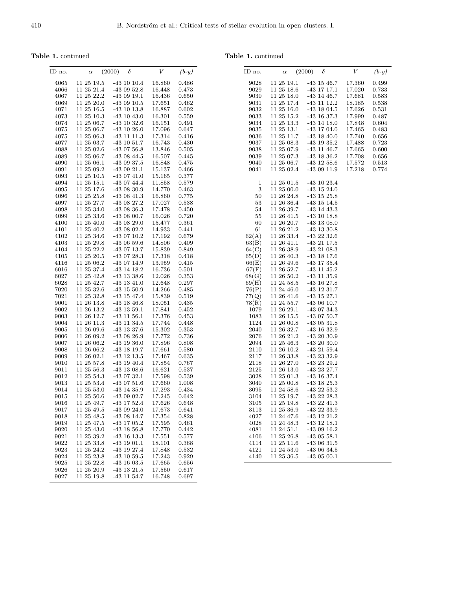Table 1. continued

Table 1. continued

ID no.  $\qquad \alpha$ 

| <b>1.</b> continued |            |                    |        |         |
|---------------------|------------|--------------------|--------|---------|
| ) no.               | $\alpha$   | (2000)<br>$\delta$ | V      | $(b-y)$ |
| 4065                | 11 25 19.5 | $-43$ 10 10.4      | 16.860 | 0.486   |
| 4066                | 11 25 21.4 | $-430952.8$        | 16.448 | 0.473   |
| 4067                | 11 25 22.2 | $-430919.1$        | 16.436 | 0.650   |
| 4069                | 11 25 20.0 | $-430910.5$        | 17.651 | 0.462   |
| 4071                | 11 25 16.5 | $-43$ 10 13.8      | 16.887 | 0.602   |
| 4073                | 11 25 10.3 | $-43$ 10 $43.0$    | 16.301 | 0.559   |
| 4074                | 11 25 06.7 | $-43$ 10 32.6      | 16.151 | 0.491   |
| 4075                | 11 25 06.7 | $-43$ 10 26.0      | 17.096 | 0.647   |
| 4075                | 11 25 06.3 | $-43$ 11 11.3      | 17.314 | 0.416   |
| 4077                | 11 25 03.7 | $-43$ 10 $51.7$    | 16.743 | 0.430   |
| 4088                | 11 25 02.6 | $-430756.8$        | 13.846 | 0.505   |
| 4089                | 11 25 06.7 | $-430844.5$        | 16.507 | 0.445   |
| 4090                | 11 25 06.1 | $-430937.5$        | 16.848 | 0.475   |
| 4091                | 11 25 09.2 | $-430921.1$        | 15.137 | 0.466   |
| 4093                | 11 25 10.5 | $-430741.0$        | 15.165 | 0.377   |
| 4094                | 11 25 15.1 | -43 07 44.4        | 11.858 | 0.579   |
| 4095                | 11 25 17.6 | $-430830.9$        | 14.770 | 0.463   |
| 4096                | 11 25 25.8 | $-430841.3$        | 16.860 | 0.775   |
| 4097                | 11 25 27.7 | -43 08 27.2        | 17.027 | 0.538   |
| 4098                | 11 25 34.0 | $-430836.3$        | 17.478 | 0.450   |
| 4099                | 11 25 33.6 | $-430800.7$        | 16.026 | 0.720   |
| 4100                | 11 25 40.0 | $-430829.0$        | 15.477 | 0.361   |
| 4101                | 11 25 40.2 | -43 08 02.2        | 14.933 | 0.441   |
| 4102                | 11 25 34.6 | $-430710.2$        | 17.192 | 0.679   |
| 4103                | 11 25 29.8 | $-430659.6$        | 14.806 | 0.409   |
| 4104                | 11 25 22.2 | -43 07 13.7        | 15.839 | 0.849   |
| 4105                | 11 25 20.5 | $-430728.3$        | 17.318 | 0.418   |
| 4116                | 11 25 06.2 | $-430714.9$        | 13.959 | 0.415   |
| 6016                | 11 25 37.4 | $-43$ 14 18.2      | 16.736 | 0.501   |
| 6027                | 11 25 42.8 | $-43$ 13 38.6      | 12.026 | 0.353   |
| 6028                | 11 25 42.7 | $-43$ 13 $41.0$    | 12.648 | 0.297   |
| 7020                | 11 25 32.6 | $-43$ 15 50.9      | 14.266 | 0.485   |
| 7021                | 11 25 32.8 | $-43$ 15 $47.4$    | 15.839 | 0.519   |
| 9001                | 11 26 13.8 | $-43$ 18 46.8      | 18.051 | 0.435   |
| 9002                | 11 26 13.2 | $-43$ 13 59.1      | 17.841 | 0.452   |
| 9003                | 11 26 12.7 | $-43$ 11 56.1      | 17.376 | 0.453   |
| 9004                | 11 26 11.3 | $-43$ 11 34.5      | 17.744 | 0.448   |
| 9005                | 11 26 09.6 | $-43$ 13 37.6      | 15.302 | 0.353   |
| 9006                | 11 26 09.2 | $-430826.9$        | 17.772 | 0.736   |
| 9007                | 11 26 06.2 | $-43$ 19 36.0      | 17.896 | 0.808   |
| 9008                | 11 26 06.2 | $-43$ 18 19.7      | 17.661 | 0.580   |
| 9009                | 11 26 02.1 | $-43$ 12 13.5      | 17.467 | 0.635   |
| 9010                | 11 25 57.8 | $-43$ 19 $40.4$    | 17.854 | 0.767   |
| 9011                | 11 25 56.3 | $-43$ 13 08.6      | 16.621 | 0.537   |
| 9012                | 11 25 54.3 | $-430732.1$        | 17.598 | 0.539   |

9012 11 25 54.3 -43 07 32.1 17.598 0.539

9014 11 25 53.0 -43 14 35.9 17.293 0.434 9015 11 25 50.6 -43 09 02.7 17.245 0.642 -43 17 52.4 9017 11 25 49.5 -43 09 24.0 17.673 0.641  $-430814.7$ 9019 11 25 47.5 -43 17 05.2 17.595 0.461 9020 11 25 43.0 -43 18 56.8 17.770 0.442  $-43$  16 13.3 9022 11 25 33.8 -43 19 01.1 18.101 0.368 -43 19 27.4 9024 11 25 23.8 -43 10 59.5 17.243 0.929  $\begin{array}{cccc} 9025 & 11 \ 25 \ 22.8 & -43 \ 16 \ 03.5 & 17.665 & 0.656 \\ 9026 & 11 \ 25 \ 20.9 & -43 \ 13 \ 21.5 & 17.550 & 0.617 \end{array}$ -43 13 $21.5\,$ 9027 11 25 19.8 -43 11 54.7 16.748 0.697

9013 11 25 53.4 -43 07 51.6

| ID no.       | $_{\alpha}$              | (2000) | δ                              | V      | $(b-y)$     |
|--------------|--------------------------|--------|--------------------------------|--------|-------------|
| 9028         | 11 25 19.1               |        | $-43$ 15 $46.7$                | 17.360 | 0.499       |
| 9029         | 11 25 18.6               |        | -43 17 17.1                    | 17.020 | 0.733       |
| 9030         | 11 25 18.0               |        | $-43$ 14 $46.7$                | 17.681 | 0.583       |
| 9031         | 11 25 17.4               |        | -43 11 12.2                    | 18.185 | 0.538       |
| 9032         | 11 25 16.0               |        | -43 18 04.5                    | 17.626 | 0.531       |
| 9033         | 11 25 15.2               |        | $-43$ 16 37.3                  | 17.999 | 0.487       |
| 9034         | 11 25 13.3               |        | $-43$ 14 18.0                  | 17.848 | 0.604       |
| 9035         | 11 25 13.1               |        | -43 17 04.0                    | 17.465 | 0.483       |
| 9036         | 11 25 11.7               |        | -43 18 40.0                    | 17.740 | 0.656       |
| 9037         | 11 25 08.3               |        | $-43$ 19 35.2                  | 17.488 | 0.723       |
| 9038         | 11 25 07.9               |        | $-43$ 11 $46.7$                | 17.665 | 0.600       |
| 9039         | 11 25 07.3               |        | $-43$ 18 36.2                  | 17.708 | 0.656       |
| 9040         | 11 25 06.7               |        | $-43$ 12 58.6                  | 17.572 | $\,0.513\,$ |
| 9041         | 11 25 02.4               |        | $-430911.9$                    | 17.218 | 0.774       |
| 1            | 11 25 01.5               |        | -43 10 23.4                    |        |             |
| 3            | 11 25 00.0               |        | $-43$ 15 24.0                  |        |             |
| 50           | 11 26 24.8               |        | $-43$ 15 $25.8$                |        |             |
| 53           | 11 26 36.4               |        | $-43$ 15 14.5                  |        |             |
| 54           | 11 26 39.7               |        | $-43$ 14 $43.3$                |        |             |
| 55           | 11 26 41.5               |        | $-43$ 10 18.8<br>$-43$ 13 08.0 |        |             |
| 60<br>61     | 11 26 20.7               |        | $-43$ 13 30.8                  |        |             |
| 62(A)        | 11 26 21.2<br>11 26 33.4 |        | $-432232.6$                    |        |             |
| 63(B)        | $11\ 26\ 41.1$           |        | $-432117.5$                    |        |             |
| 64(C)        | 11 26 38.9               |        | $-432108.3$                    |        |             |
| 65(D)        | 11 26 40.3               |        | $-43$ 18 17.6                  |        |             |
| 66(E)        | 11 26 49.6               |        | $-43$ 17 35.4                  |        |             |
| 67(F)        | $11\ 26\ 52.7$           |        | $-43$ 11 $45.2$                |        |             |
| 68(G)        | 11 26 50.2               |        | $-43$ 11 35.9                  |        |             |
| 69(H)        | $11\ 24\ 58.5$           |        | -43 16 27.8                    |        |             |
| 76(P)        | 11 24 46.0               |        | -43 12 31.7                    |        |             |
| 77(Q)        | 11 26 41.6               |        | $-43$ 15 27.1                  |        |             |
| 78(R)        | 11 24 55.7               |        | $-430610.7$                    |        |             |
| 1079         | 11 26 29.1               |        | -43 07 34.3                    |        |             |
| 1083         | 11 26 15.5               |        | $-430750.7$                    |        |             |
| 1124         | 11 26 00.8               |        | $-430531.8$                    |        |             |
| 2040         | 11 26 32.7               |        | $-43$ 16 32.9                  |        |             |
| 2076         | 11 26 21.2               |        | $-432030.9$                    |        |             |
| 2094         | 11 25 46.3               |        | $-432030.0$                    |        |             |
| 2110         | 11 26 10.2               |        | $-432159.4$                    |        |             |
| 2117         | 11 26 33.8               |        | -43 23 32.9                    |        |             |
| 2118         | 11 26 27.0               |        | -43 23 29.2                    |        |             |
| 2125         | 11 26 13.0               |        | -43 23 27.7<br>$-43$ 16 37.4   |        |             |
| 3028<br>3040 | 11 25 01.3<br>11 25 00.8 |        | $-43$ 18 $25.3$                |        |             |
| 3095         | 11 24 58.6               |        | $-432253.2$                    |        |             |
| 3104         | 11 25 19.7               |        | $-43$ 22 28.3                  |        |             |
| 3105         | 11 25 19.8               |        | $-432241.3$                    |        |             |
| 3113         | 11 25 36.9               |        | -43 22 33.9                    |        |             |
| 4027         | $11\ 24\ 47.6$           |        | -43 12 21.2                    |        |             |
| 4028         | $11\ 24\ 48.3$           |        | $-43$ 12 18.1                  |        |             |
| 4081         | 11 24 51.1               |        | $-430916.2$                    |        |             |
| 4106         | 11 25 26.8               |        | $-430558.1$                    |        |             |
| 4114         | 11 25 11.6               |        | $-430631.5$                    |        |             |
| 4121         | $11\ 24\ 53.0$           |        | $-430634.5$                    |        |             |
| 4140         | 11 25 36.5               |        | $-430500.1$                    |        |             |
|              |                          |        |                                |        |             |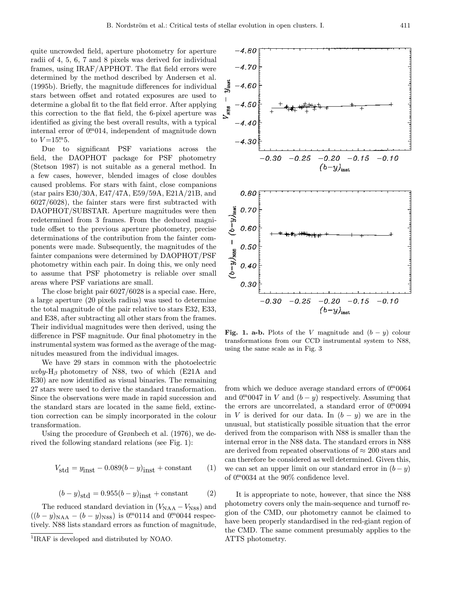quite uncrowded field, aperture photometry for aperture radii of 4, 5, 6, 7 and 8 pixels was derived for individual frames, using IRAF/APPHOT. The flat field errors were determined by the method described by Andersen et al. (1995b). Briefly, the magnitude differences for individual stars between offset and rotated exposures are used to determine a global fit to the flat field error. After applying this correction to the flat field, the 6-pixel aperture was identified as giving the best overall results, with a typical internal error of  $0^{m}014$ , independent of magnitude down to  $V = 15 \cdot 5$ .

Due to significant PSF variations across the field, the DAOPHOT package for PSF photometry (Stetson 1987) is not suitable as a general method. In a few cases, however, blended images of close doubles caused problems. For stars with faint, close companions (star pairs E30/30A, E47/47A, E59/59A, E21A/21B, and 6027/6028), the fainter stars were first subtracted with DAOPHOT/SUBSTAR. Aperture magnitudes were then redetermined from 3 frames. From the deduced magnitude offset to the previous aperture photometry, precise determinations of the contribution from the fainter components were made. Subsequently, the magnitudes of the fainter companions were determined by DAOPHOT/PSF photometry within each pair. In doing this, we only need to assume that PSF photometry is reliable over small areas where PSF variations are small.

The close bright pair 6027/6028 is a special case. Here, a large aperture (20 pixels radius) was used to determine the total magnitude of the pair relative to stars E32, E33, and E38, after subtracting all other stars from the frames. Their individual magnitudes were then derived, using the difference in PSF magnitude. Our final photometry in the instrumental system was formed as the average of the magnitudes measured from the individual images.

We have 29 stars in common with the photoelectric uvby-H<sub>β</sub> photometry of N88, two of which (E21A and E30) are now identified as visual binaries. The remaining 27 stars were used to derive the standard transformation. Since the observations were made in rapid succession and the standard stars are located in the same field, extinction correction can be simply incorporated in the colour transformation.

Using the procedure of Grønbech et al. (1976), we derived the following standard relations (see Fig. 1):

$$
V_{\text{std}} = y_{\text{inst}} - 0.089(b - y)_{\text{inst}} + \text{constant} \tag{1}
$$

$$
(b - y)_{\text{std}} = 0.955(b - y)_{\text{inst}} + \text{constant} \tag{2}
$$

The reduced standard deviation in  $(V_{\text{NAA}} - V_{\text{NS8}})$  and  $((b - y)_{\text{NAA}} - (b - y)_{\text{NS8}})$  is 0. 0. 0114 and 0. 0. 0044 respectively. N88 lists standard errors as function of magnitude,



Fig. 1. a-b. Plots of the V magnitude and  $(b - y)$  colour transformations from our CCD instrumental system to N88, using the same scale as in Fig. 3

from which we deduce average standard errors of  $0\substack{m}{.}0064$ and  $0^{\text{m}}0047$  in V and  $(b - y)$  respectively. Assuming that the errors are uncorrelated, a standard error of  $0.0094$ in V is derived for our data. In  $(b - y)$  we are in the unusual, but statistically possible situation that the error derived from the comparison with N88 is smaller than the internal error in the N88 data. The standard errors in N88 are derived from repeated observations of  $\approx 200$  stars and can therefore be considered as well determined. Given this, we can set an upper limit on our standard error in  $(b - y)$ of 0. 0034 at the 90% confidence level.

It is appropriate to note, however, that since the N88 photometry covers only the main-sequence and turnoff region of the CMD, our photometry cannot be claimed to have been properly standardised in the red-giant region of the CMD. The same comment presumably applies to the ATTS photometry.

<sup>1</sup>IRAF is developed and distributed by NOAO.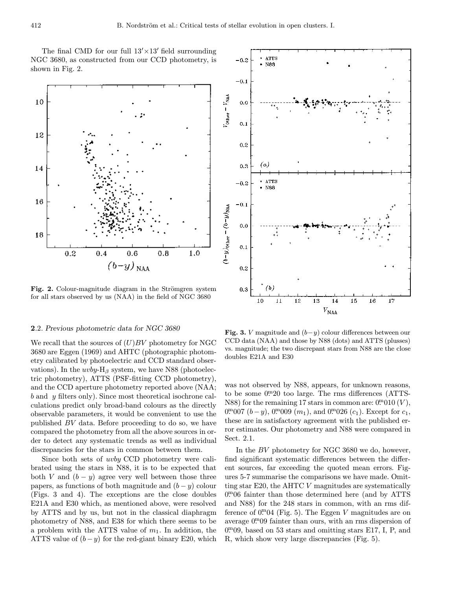The final CMD for our full  $13' \times 13'$  field surrounding NGC 3680, as constructed from our CCD photometry, is shown in Fig. 2.



Fig. 2. Colour-magnitude diagram in the Strömgren system for all stars observed by us (NAA) in the field of NGC 3680

#### 2.2. Previous photometric data for NGC 3680

We recall that the sources of  $(U)BV$  photometry for NGC 3680 are Eggen (1969) and AHTC (photographic photometry calibrated by photoelectric and CCD standard observations). In the  $uvby-H<sub>\beta</sub>$  system, we have N88 (photoelectric photometry), ATTS (PSF-fitting CCD photometry), and the CCD aperture photometry reported above (NAA; b and y filters only). Since most theoretical isochrone calculations predict only broad-band colours as the directly observable parameters, it would be convenient to use the published BV data. Before proceeding to do so, we have compared the photometry from all the above sources in order to detect any systematic trends as well as individual discrepancies for the stars in common between them.

Since both sets of uvby CCD photometry were calibrated using the stars in N88, it is to be expected that both V and  $(b - y)$  agree very well between those three papers, as functions of both magnitude and  $(b - y)$  colour (Figs. 3 and 4). The exceptions are the close doubles E21A and E30 which, as mentioned above, were resolved by ATTS and by us, but not in the classical diaphragm photometry of N88, and E38 for which there seems to be a problem with the ATTS value of  $m_1$ . In addition, the ATTS value of  $(b-y)$  for the red-giant binary E20, which



Fig. 3. V magnitude and  $(b-y)$  colour differences between our CCD data (NAA) and those by N88 (dots) and ATTS (plusses) vs. magnitude; the two discrepant stars from N88 are the close doubles E21A and E30

was not observed by N88, appears, for unknown reasons, to be some  $0<sup>m</sup>20$  too large. The rms differences (ATTS-N88) for the remaining 17 stars in common are:  $0<sup>m</sup>010(V)$ , 0. 07 (*b* – *y*), 0. 0. 09 (*m*<sub>1</sub>), and 0. 0. 26 (*c*<sub>1</sub>). Except for *c*<sub>1</sub>, these are in satisfactory agreement with the published error estimates. Our photometry and N88 were compared in Sect. 2.1.

In the BV photometry for NGC 3680 we do, however, find significant systematic differences between the different sources, far exceeding the quoted mean errors. Figures 5-7 summarise the comparisons we have made. Omitting star E20, the AHTC V magnitudes are systematically 0. <sup>m</sup>06 fainter than those determined here (and by ATTS and N88) for the 248 stars in common, with an rms difference of  $0^{m}04$  (Fig. 5). The Eggen V magnitudes are on average  $0^{m}09$  fainter than ours, with an rms dispersion of 0. <sup>m</sup>09, based on 53 stars and omitting stars E17, I, P, and R, which show very large discrepancies (Fig. 5).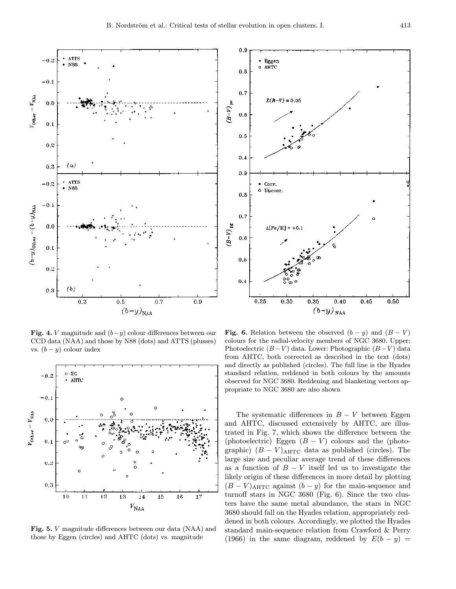

Fig. 4. V magnitude and  $(b-y)$  colour differences between our CCD data (NAA) and those by N88 (dots) and ATTS (plusses) vs.  $(b - y)$  colour index



Fig. 5. V magnitude differences between our data (NAA) and those by Eggen (circles) and AHTC (dots) vs. magnitude



Fig. 6. Relation between the observed  $(b - y)$  and  $(B - V)$ colours for the radial-velocity members of NGC 3680. Upper: Photoelectric  $(B-V)$  data. Lower: Photographic  $(B-V)$  data from AHTC, both corrected as described in the text (dots) and directly as published (circles). The full line is the Hyades standard relation, reddened in both colours by the amounts observed for NGC 3680. Reddening and blanketing vectors appropriate to NGC 3680 are also shown

The systematic differences in  $B - V$  between Eggen and AHTC, discussed extensively by AHTC, are illustrated in Fig. 7, which shows the difference between the (photoelectric) Eggen  $(B - V)$  colours and the (photographic)  $(B - V)_{\text{AHTC}}$  data as published (circles). The large size and peculiar average trend of these differences as a function of  $B - V$  itself led us to investigate the likely origin of these differences in more detail by plotting  $(B - V)$ AHTC against  $(b - y)$  for the main-sequence and turnoff stars in NGC 3680 (Fig. 6). Since the two clusters have the same metal abundance, the stars in NGC 3680 should fall on the Hyades relation, appropriately reddened in both colours. Accordingly, we plotted the Hyades standard main-sequence relation from Crawford & Perry (1966) in the same diagram, reddened by  $E(b - y) =$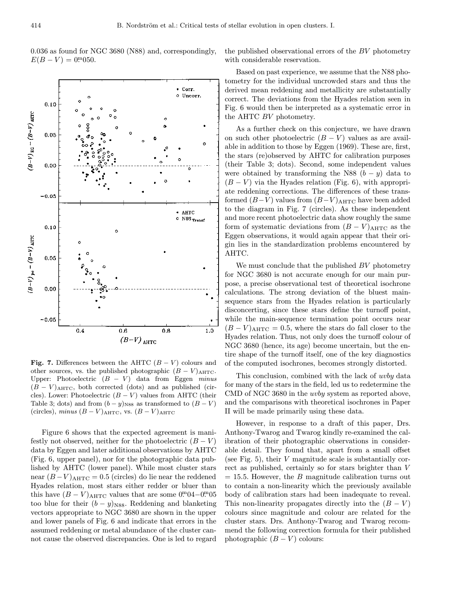0.036 as found for NGC 3680 (N88) and, correspondingly,  $E(B - V) = 0$ <sup>m</sup>050.

the published observational errors of the BV photometry with considerable reservation.



Fig. 7. Differences between the AHTC  $(B - V)$  colours and other sources, vs. the published photographic  $(B - V)_{\text{AHTC}}$ . Upper: Photoelectric  $(B - V)$  data from Eggen minus  $(B - V)_{\text{AHTC}}$ , both corrected (dots) and as published (circles). Lower: Photoelectric  $(B - V)$  values from AHTC (their Table 3; dots) and from  $(b - y)_{N88}$  as transformed to  $(B - V)$ (circles), minus  $(B - V)_{\text{AHTC}}$ , vs.  $(B - V)_{\text{AHTC}}$ 

Figure 6 shows that the expected agreement is manifestly not observed, neither for the photoelectric  $(B - V)$ data by Eggen and later additional observations by AHTC (Fig. 6, upper panel), nor for the photographic data published by AHTC (lower panel). While most cluster stars near  $(B-V)_{\text{AHTC}} = 0.5$  (circles) do lie near the reddened Hyades relation, most stars either redder or bluer than this have  $(B - V)$ <sub>AHTC</sub> values that are some  $0.04 - 0.0005$ too blue for their  $(b - y)_{\text{N88}}$ . Reddening and blanketing vectors appropriate to NGC 3680 are shown in the upper and lower panels of Fig. 6 and indicate that errors in the assumed reddening or metal abundance of the cluster cannot cause the observed discrepancies. One is led to regard

Based on past experience, we assume that the N88 photometry for the individual uncrowded stars and thus the derived mean reddening and metallicity are substantially correct. The deviations from the Hyades relation seen in Fig. 6 would then be interpreted as a systematic error in the AHTC BV photometry.

As a further check on this conjecture, we have drawn on such other photoelectric  $(B - V)$  values as are available in addition to those by Eggen (1969). These are, first, the stars (re)observed by AHTC for calibration purposes (their Table 3; dots). Second, some independent values were obtained by transforming the N88  $(b - y)$  data to  $(B - V)$  via the Hyades relation (Fig. 6), with appropriate reddening corrections. The differences of these transformed  $(B-V)$  values from  $(B-V)$ <sub>AHTC</sub> have been added to the diagram in Fig. 7 (circles). As these independent and more recent photoelectric data show roughly the same form of systematic deviations from  $(B - V)_{\text{AHTC}}$  as the Eggen observations, it would again appear that their origin lies in the standardization problems encountered by AHTC.

We must conclude that the published BV photometry for NGC 3680 is not accurate enough for our main purpose, a precise observational test of theoretical isochrone calculations. The strong deviation of the bluest mainsequence stars from the Hyades relation is particularly disconcerting, since these stars define the turnoff point, while the main-sequence termination point occurs near  $(B - V)_{\text{AHTC}} = 0.5$ , where the stars do fall closer to the Hyades relation. Thus, not only does the turnoff colour of NGC 3680 (hence, its age) become uncertain, but the entire shape of the turnoff itself, one of the key diagnostics of the computed isochrones, becomes strongly distorted.

This conclusion, combined with the lack of uvby data for many of the stars in the field, led us to redetermine the CMD of NGC 3680 in the uvby system as reported above, and the comparisons with theoretical isochrones in Paper II will be made primarily using these data.

However, in response to a draft of this paper, Drs. Anthony-Twarog and Twarog kindly re-examined the calibration of their photographic observations in considerable detail. They found that, apart from a small offset (see Fig. 5), their V magnitude scale is substantially correct as published, certainly so for stars brighter than V  $= 15.5$ . However, the B magnitude calibration turns out to contain a non-linearity which the previously available body of calibration stars had been inadequate to reveal. This non-linearity propagates directly into the  $(B - V)$ colours since magnitude and colour are related for the cluster stars. Drs. Anthony-Twarog and Twarog recommend the following correction formula for their published photographic  $(B - V)$  colours: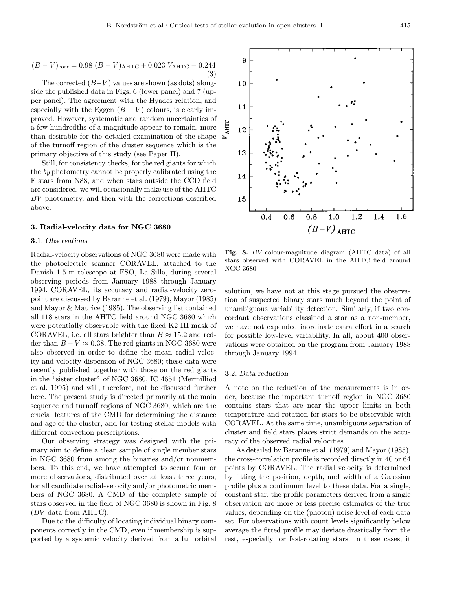$$
(B - V)_{\text{corr}} = 0.98 (B - V)_{\text{AHTC}} + 0.023 V_{\text{AHTC}} - 0.244
$$
\n(3)

The corrected  $(B-V)$  values are shown (as dots) alongside the published data in Figs. 6 (lower panel) and 7 (upper panel). The agreement with the Hyades relation, and especially with the Eggen  $(B - V)$  colours, is clearly improved. However, systematic and random uncertainties of a few hundredths of a magnitude appear to remain, more than desirable for the detailed examination of the shape of the turnoff region of the cluster sequence which is the primary objective of this study (see Paper II).

Still, for consistency checks, for the red giants for which the by photometry cannot be properly calibrated using the F stars from N88, and when stars outside the CCD field are considered, we will occasionally make use of the AHTC BV photometry, and then with the corrections described above.

#### 3. Radial-velocity data for NGC 3680

#### 3.1. Observations

Radial-velocity observations of NGC 3680 were made with the photoelectric scanner CORAVEL, attached to the Danish 1.5-m telescope at ESO, La Silla, during several observing periods from January 1988 through January 1994. CORAVEL, its accuracy and radial-velocity zeropoint are discussed by Baranne et al. (1979), Mayor (1985) and Mayor & Maurice (1985). The observing list contained all 118 stars in the AHTC field around NGC 3680 which were potentially observable with the fixed K2 III mask of CORAVEL, i.e. all stars brighter than  $B \approx 15.2$  and redder than  $B - V \approx 0.38$ . The red giants in NGC 3680 were also observed in order to define the mean radial velocity and velocity dispersion of NGC 3680; these data were recently published together with those on the red giants in the "sister cluster" of NGC 3680, IC 4651 (Mermilliod et al. 1995) and will, therefore, not be discussed further here. The present study is directed primarily at the main sequence and turnoff regions of NGC 3680, which are the crucial features of the CMD for determining the distance and age of the cluster, and for testing stellar models with different convection prescriptions.

Our observing strategy was designed with the primary aim to define a clean sample of single member stars in NGC 3680 from among the binaries and/or nonmembers. To this end, we have attempted to secure four or more observations, distributed over at least three years, for all candidate radial-velocity and/or photometric members of NGC 3680. A CMD of the complete sample of stars observed in the field of NGC 3680 is shown in Fig. 8 (BV data from AHTC).

Due to the difficulty of locating individual binary components correctly in the CMD, even if membership is supported by a systemic velocity derived from a full orbital

Fig. 8. BV colour-magnitude diagram (AHTC data) of all stars observed with CORAVEL in the AHTC field around NGC 3680

solution, we have not at this stage pursued the observation of suspected binary stars much beyond the point of unambiguous variability detection. Similarly, if two concordant observations classified a star as a non-member, we have not expended inordinate extra effort in a search for possible low-level variability. In all, about 400 observations were obtained on the program from January 1988 through January 1994.

## 3.2. Data reduction

A note on the reduction of the measurements is in order, because the important turnoff region in NGC 3680 contains stars that are near the upper limits in both temperature and rotation for stars to be observable with CORAVEL. At the same time, unambiguous separation of cluster and field stars places strict demands on the accuracy of the observed radial velocities.

As detailed by Baranne et al. (1979) and Mayor (1985), the cross-correlation profile is recorded directly in 40 or 64 points by CORAVEL. The radial velocity is determined by fitting the position, depth, and width of a Gaussian profile plus a continuum level to these data. For a single, constant star, the profile parameters derived from a single observation are more or less precise estimates of the true values, depending on the (photon) noise level of each data set. For observations with count levels significantly below average the fitted profile may deviate drastically from the rest, especially for fast-rotating stars. In these cases, it

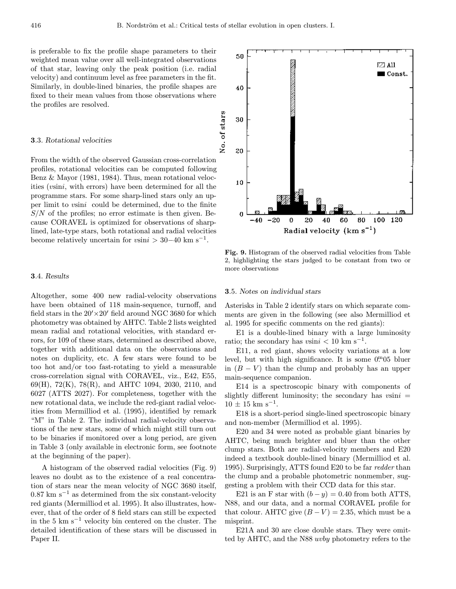is preferable to fix the profile shape parameters to their weighted mean value over all well-integrated observations of that star, leaving only the peak position (i.e. radial velocity) and continuum level as free parameters in the fit. Similarly, in double-lined binaries, the profile shapes are fixed to their mean values from those observations where the profiles are resolved.

#### 3.3. Rotational velocities

From the width of the observed Gaussian cross-correlation profiles, rotational velocities can be computed following Benz & Mayor (1981, 1984). Thus, mean rotational velocities (vsini, with errors) have been determined for all the programme stars. For some sharp-lined stars only an upper limit to vsini could be determined, due to the finite  $S/N$  of the profiles; no error estimate is then given. Because CORAVEL is optimized for observations of sharplined, late-type stars, both rotational and radial velocities become relatively uncertain for  $v\sin i > 30-40$  km s<sup>-1</sup>.

## 3.4. Results

Altogether, some 400 new radial-velocity observations have been obtained of 118 main-sequence, turnoff, and field stars in the  $20' \times 20'$  field around NGC 3680 for which photometry was obtained by AHTC. Table 2 lists weighted mean radial and rotational velocities, with standard errors, for 109 of these stars, determined as described above, together with additional data on the observations and notes on duplicity, etc. A few stars were found to be too hot and/or too fast-rotating to yield a measurable cross-correlation signal with CORAVEL, viz., E42, E55, 69(H), 72(K), 78(R), and AHTC 1094, 2030, 2110, and 6027 (ATTS 2027). For completeness, together with the new rotational data, we include the red-giant radial velocities from Mermilliod et al. (1995), identified by remark "M" in Table 2. The individual radial-velocity observations of the new stars, some of which might still turn out to be binaries if monitored over a long period, are given in Table 3 (only available in electronic form, see footnote at the beginning of the paper).

A histogram of the observed radial velocities (Fig. 9) leaves no doubt as to the existence of a real concentration of stars near the mean velocity of NGC 3680 itself,  $0.87 \text{ km s}^{-1}$  as determined from the six constant-velocity red giants (Mermilliod et al. 1995). It also illustrates, however, that of the order of 8 field stars can still be expected in the 5 km  $s^{-1}$  velocity bin centered on the cluster. The detailed identification of these stars will be discussed in Paper II.

Fig. 9. Histogram of the observed radial velocities from Table 2, highlighting the stars judged to be constant from two or more observations

#### 3.5. Notes on individual stars

Asterisks in Table 2 identify stars on which separate comments are given in the following (see also Mermilliod et al. 1995 for specific comments on the red giants):

E1 is a double-lined binary with a large luminosity ratio; the secondary has vsini  $< 10 \text{ km s}^{-1}$ .

E11, a red giant, shows velocity variations at a low level, but with high significance. It is some 0. 05 bluer in  $(B - V)$  than the clump and probably has an upper main-sequence companion.

E14 is a spectroscopic binary with components of slightly different luminosity; the secondary has  $v\sin i =$  $10 \pm 15$  km s<sup>-1</sup>.

E18 is a short-period single-lined spectroscopic binary and non-member (Mermilliod et al. 1995).

E20 and 34 were noted as probable giant binaries by AHTC, being much brighter and bluer than the other clump stars. Both are radial-velocity members and E20 indeed a textbook double-lined binary (Mermilliod et al. 1995). Surprisingly, ATTS found E20 to be far redder than the clump and a probable photometric nonmember, suggesting a problem with their CCD data for this star.

E21 is an F star with  $(b - y) = 0.40$  from both ATTS, N88, and our data, and a normal CORAVEL profile for that colour. AHTC give  $(B - V) = 2.35$ , which must be a misprint.

E21A and 30 are close double stars. They were omitted by AHTC, and the N88 uvby photometry refers to the

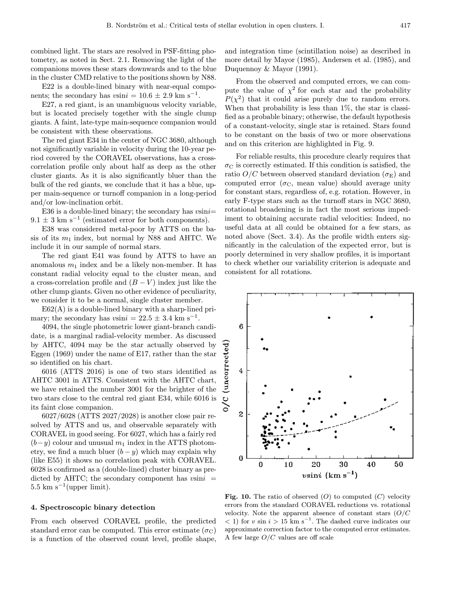combined light. The stars are resolved in PSF-fitting photometry, as noted in Sect. 2.1. Removing the light of the companions moves these stars downwards and to the blue in the cluster CMD relative to the positions shown by N88.

E22 is a double-lined binary with near-equal components; the secondary has vsini =  $10.6 \pm 2.9$  km s<sup>-1</sup>.

E27, a red giant, is an unambiguous velocity variable, but is located precisely together with the single clump giants. A faint, late-type main-sequence companion would be consistent with these observations.

The red giant E34 in the center of NGC 3680, although not significantly variable in velocity during the 10-year period covered by the CORAVEL observations, has a crosscorrelation profile only about half as deep as the other cluster giants. As it is also significantly bluer than the bulk of the red giants, we conclude that it has a blue, upper main-sequence or turnoff companion in a long-period and/or low-inclination orbit.

E36 is a double-lined binary; the secondary has  $v\sin i=$  $9.1 \pm 3$  km s<sup>-1</sup> (estimated error for both components).

E38 was considered metal-poor by ATTS on the basis of its  $m_1$  index, but normal by N88 and AHTC. We include it in our sample of normal stars.

The red giant E41 was found by ATTS to have an anomalous  $m_1$  index and be a likely non-member. It has constant radial velocity equal to the cluster mean, and a cross-correlation profile and  $(B - V)$  index just like the other clump giants. Given no other evidence of peculiarity, we consider it to be a normal, single cluster member.

 $E62(A)$  is a double-lined binary with a sharp-lined primary; the secondary has vsini =  $22.5 \pm 3.4$  km s<sup>-1</sup>.

4094, the single photometric lower giant-branch candidate, is a marginal radial-velocity member. As discussed by AHTC, 4094 may be the star actually observed by Eggen (1969) under the name of E17, rather than the star so identified on his chart.

6016 (ATTS 2016) is one of two stars identified as AHTC 3001 in ATTS. Consistent with the AHTC chart, we have retained the number 3001 for the brighter of the two stars close to the central red giant E34, while 6016 is its faint close companion.

6027/6028 (ATTS 2027/2028) is another close pair resolved by ATTS and us, and observable separately with CORAVEL in good seeing. For 6027, which has a fairly red  $(b-y)$  colour and unusual  $m_1$  index in the ATTS photometry, we find a much bluer  $(b - y)$  which may explain why (like E55) it shows no correlation peak with CORAVEL. 6028 is confirmed as a (double-lined) cluster binary as predicted by AHTC; the secondary component has  $v\sin i =$  $5.5 \text{ km s}^{-1}$ (upper limit).

# 4. Spectroscopic binary detection

From each observed CORAVEL profile, the predicted standard error can be computed. This error estimate ( $\sigma$ C) is a function of the observed count level, profile shape,

and integration time (scintillation noise) as described in more detail by Mayor (1985), Andersen et al. (1985), and Duquennoy & Mayor (1991).

From the observed and computed errors, we can compute the value of  $\chi^2$  for each star and the probability  $P(\chi^2)$  that it could arise purely due to random errors. When that probability is less than 1%, the star is classified as a probable binary; otherwise, the default hypothesis of a constant-velocity, single star is retained. Stars found to be constant on the basis of two or more observations and on this criterion are highlighted in Fig. 9.

For reliable results, this procedure clearly requires that  $\sigma_{\rm C}$  is correctly estimated. If this condition is satisfied, the ratio  $O/C$  between observed standard deviation  $(\sigma_{\rm E})$  and computed error ( $\sigma_{\rm C}$ , mean value) should average unity for constant stars, regardless of, e.g. rotation. However, in early F-type stars such as the turnoff stars in NGC 3680, rotational broadening is in fact the most serious impediment to obtaining accurate radial velocities: Indeed, no useful data at all could be obtained for a few stars, as noted above (Sect. 3.4). As the profile width enters significantly in the calculation of the expected error, but is poorly determined in very shallow profiles, it is important to check whether our variability criterion is adequate and consistent for all rotations.



**Fig. 10.** The ratio of observed  $(O)$  to computed  $(C)$  velocity errors from the standard CORAVEL reductions vs. rotational velocity. Note the apparent absence of constant stars  $(O/C)$  $(1)$  for v sin  $i > 15$  km s<sup>-1</sup>. The dashed curve indicates our approximate correction factor to the computed error estimates. A few large  $O/C$  values are off scale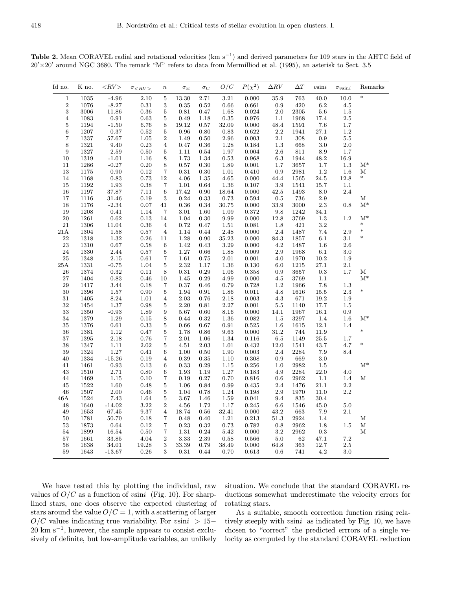Table 2. Mean CORAVEL radial and rotational velocities ( $\text{km s}^{-1}$ ) and derived parameters for 109 stars in the AHTC field of  $20' \times 20'$  around NGC 3680. The remark "M" refers to data from Mermilliod et al. (1995), an asterisk to Sect. 3.5

| Id no.                  | K no.    | $\langle RV \rangle$ | $\sigma_{RV}$ | $\, n$           | $\sigma_{\rm E}$ | $\sigma_{\rm C}$ | O/C        | $P(\chi^2)$ | $\Delta RV$ | $\Delta T$ | $v\sin i$ | $\sigma_{v\mathrm{sin}i}$ | Remarks     |
|-------------------------|----------|----------------------|---------------|------------------|------------------|------------------|------------|-------------|-------------|------------|-----------|---------------------------|-------------|
| $\mathbf 1$             | $1035\,$ | $-4.96$              | $2.10\,$      | $\bf 5$          | 13.30            | 2.71             | 3.21       | $0.000\,$   | 35.9        | 763        | 40.0      | 10.0                      | $\ast$      |
| $\boldsymbol{2}$        | 1076     | $-8.27$              | $\rm 0.31$    | $\,3$            | $\rm 0.35$       | $\rm 0.52$       | 0.66       | $\,0.661\,$ | $\rm 0.9$   | 420        | $6.2\,$   | $4.5\,$                   |             |
| $\,3$                   | 3006     | 11.86                | 0.36          | $\bf 5$          | 0.81             | 0.47             | 1.68       | 0.024       | $2.0\,$     | 2305       | 5.6       | $1.5\,$                   |             |
| $\overline{\mathbf{4}}$ | 1083     | $\rm 0.91$           | 0.63          | $\bf 5$          | 0.49             | 1.18             | 0.35       | 0.976       | 1.1         | 1968       | 17.4      | $2.5\,$                   |             |
| $\bf 5$                 | 1194     | $-1.50$              | 6.76          | 8                | 19.12            | 0.57             | 32.09      | $0.000\,$   | 48.4        | 1591       | 7.6       | 1.7                       |             |
| $\,6\,$                 | 1207     | 0.37                 | 0.52          | $\bf 5$          | 0.96             | 0.80             | 0.83       | 0.622       | $2.2\,$     | 1941       | 27.1      | 1.2                       |             |
| $\overline{\mathbf{7}}$ | 1337     | 57.67                | $1.05\,$      | $\,2$            | 1.49             | $0.50\,$         | $2.96\,$   | $\rm 0.003$ | $2.1\,$     | $308\,$    | $0.9\,$   | $5.5\,$                   |             |
| $\,$ $\,$               | $1321\,$ | 9.40                 | $\rm 0.23$    | $\overline{4}$   | 0.47             | 0.36             | 1.28       | 0.184       | $1.3\,$     | 668        | 3.0       | 2.0                       |             |
| $\boldsymbol{9}$        | 1327     | 2.59                 | $\rm 0.50$    | 5                | 1.11             | 0.54             | 1.97       | 0.004       | $2.6\,$     | 811        | 8.9       | 1.7                       |             |
| 10                      | 1319     | $-1.01$              | $1.16\,$      | 8                | 1.73             | 1.34             | $\rm 0.53$ | 0.968       | $6.3\,$     | 1944       | 48.2      | $16.9\,$                  |             |
| 11                      | 1286     | $-0.27$              | $0.20\,$      | 8                | 0.57             | 0.30             | 1.89       | 0.001       | 1.7         | 3657       | 1.7       | 1.3                       | $M^*$       |
| 13                      | 1175     | 0.90                 | $\rm 0.12$    | $\overline{7}$   | 0.31             | 0.30             | $1.01\,$   | 0.410       | $\rm 0.9$   | 2981       | 1.2       | $1.6\,$                   | М           |
| $14\,$                  | 1168     | $\rm 0.83$           | 0.73          | 12               | 4.06             | 1.35             | $4.65\,$   | $0.000\,$   | 44.4        | 1565       | $24.5\,$  | $12.8\,$                  | $\ast$      |
| 15                      | 1192     | 1.93                 | $\rm 0.38$    | 7                | 1.01             | 0.64             | 1.36       | 0.107       | $3.9\,$     | 1541       | 15.7      | 1.1                       |             |
| $16\,$                  | 1197     | 37.87                | 7.11          | $\,6\,$          | 17.42            | 0.90             | 18.64      | 0.000       | 42.5        | 1493       | 8.0       | 2.4                       |             |
| 17                      | 1116     | 31.46                | $\rm 0.19$    | $\sqrt{3}$       | 0.24             | 0.33             | 0.73       | 0.594       | 0.5         | 736        | $2.9\,$   |                           | М           |
| 18                      | 1176     | $-2.34$              | $0.07\,$      | 41               | 0.36             | 0.34             | 30.75      | 0.000       | 33.9        | 3000       | 2.3       | $0.8\,$                   | $M^*$       |
| 19                      | 1208     | $0.41\,$             | 1.14          | $\overline{7}$   | 3.01             | 1.60             | 1.09       | 0.372       | 9.8         | 1242       | 34.1      |                           |             |
| $20\,$                  | 1261     | $\,0.62\,$           | $\rm 0.13$    | 14               | 1.04             | 0.30             | 9.99       | $0.000\,$   | $12.8\,$    | 3769       | $1.3\,$   | $1.2\,$                   | $M^*$       |
| 21                      | 1306     | 11.04                | $\,0.36$      | $\overline{4}$   | 0.72             | 0.47             | 1.51       | 0.081       | 1.8         | 421        | $3.2\,$   |                           | $\ast$      |
| $21\mbox{\AA}$          | 1304     | $1.58\,$             | 0.57          | $\overline{4}$   | 1.14             | 0.44             | 2.48       | $0.000\,$   | $2.4\,$     | 1487       | 7.4       | $2.9\,$                   | $\ast$      |
| 22                      | 1318     | 1.32                 | $\rm 0.26$    | 11               | 1.28             | 0.90             | 35.23      | 0.000       | 84.3        | 1857       | 6.1       | 3.1                       | $\ast$      |
| $\bf 23$                | 1310     | 0.67                 | 0.58          | $\,6\,$          | 1.42             | 0.43             | 3.29       | 0.000       | 4.2         | 1487       | 1.6       | $2.6\,$                   |             |
| $\bf 24$                | 1330     | 2.44                 | 0.57          | $\bf 5$          | 1.27             | $0.66\,$         | 1.88       | 0.009       | $2.9\,$     | 1968       | 6.1       | 3.0                       |             |
| $\rm 25$                | 1348     | $2.15\,$             | $\rm 0.61$    | $\overline{7}$   | 1.61             | $0.75\,$         | $2.01\,$   | 0.001       | $4.0\,$     | 1970       | 10.2      | 1.9                       |             |
| 25A                     | 1331     | $-0.75$              | $1.04\,$      | 5                | 2.32             | 1.17             | 1.36       | 0.130       | $6.0\,$     | 1215       | 27.1      | 2.1                       |             |
| $\sqrt{26}$             | 1374     | 0.32                 | $0.11\,$      | 8                | $\rm 0.31$       | $\rm 0.29$       | 1.06       | 0.358       | $\rm 0.9$   | 3657       | $\rm 0.3$ | 1.7                       | М           |
| 27                      | 1404     | $\rm 0.83$           | $0.46\,$      | 10               | 1.45             | $\rm 0.29$       | 4.99       | 0.000       | 4.5         | 3769       | 1.1       |                           | $M^*$       |
| 29                      | 1417     | 3.44                 | 0.18          | $\overline{7}$   | 0.37             | 0.46             | 0.79       | 0.728       | 1.2         | 1966       | 7.8       | 1.3                       |             |
| $30\,$                  | 1396     | $1.57\,$             | 0.90          | $\,$ 5 $\,$      | 1.94             | $\rm 0.91$       | 1.86       | 0.011       | $4.8\,$     | 1616       | 15.5      | $2.3\,$                   | $\ast$      |
| $31\,$                  | 1405     | 8.24                 | $1.01\,$      | $\overline{4}$   | $2.03\,$         | $0.76\,$         | $2.18\,$   | 0.003       | $4.3\,$     | 671        | 19.2      | 1.9                       |             |
| $32\,$                  | 1454     | 1.37                 | 0.98          | 5                | 2.20             | 0.81             | $2.27\,$   | $\rm 0.001$ | $5.5\,$     | 1140       | 17.7      | $1.5\,$                   |             |
| 33                      | 1350     | $-0.93$              | 1.89          | $\boldsymbol{9}$ | 5.67             | 0.60             | 8.16       | 0.000       | 14.1        | 1967       | 16.1      | 0.9                       |             |
| 34                      | 1379     | $1.29\,$             | 0.15          | $\,8\,$          | 0.44             | 0.32             | 1.36       | $\,0.082\,$ | 1.5         | 3297       | 1.4       | 1.6                       | $M^*$       |
| $35\,$                  | 1376     | $\rm 0.61$           | 0.33          | 5                | 0.66             | 0.67             | 0.91       | $\,0.525\,$ | 1.6         | $1615\,$   | 12.1      | 1.4                       | $\ast$      |
| $36\,$                  | 1381     | $1.12\,$             | $0.47\,$      | 5                | 1.78             | 0.86             | $\,9.63\,$ | $0.000\,$   | $31.2\,$    | 744        | 11.9      |                           |             |
| $37\,$                  | 1395     | $2.18\,$             | $0.76\,$      | $\overline{7}$   | 2.01             | 1.06             | 1.34       | $0.116\,$   | $6.5\,$     | 1149       | 25.5      | 1.7                       |             |
| 38                      | 1347     | $1.11\,$             | $2.02\,$      | 5                | 4.51             | 2.03             | 1.01       | 0.432       | $12.0\,$    | 1541       | 43.7      | 4.7                       | $\ast$      |
| 39                      | 1324     | 1.27                 | $0.41\,$      | $\,6\,$          | 1.00             | 0.50             | 1.90       | 0.003       | 2.4         | 2284       | 7.9       | 8.4                       |             |
| 40                      | 1334     | $-15.26$             | $\rm 0.19$    | $\overline{4}$   | 0.39             | 0.35             | 1.10       | 0.308       | 0.9         | 669        | $3.0\,$   |                           |             |
| 41                      | 1461     | $\rm 0.93$           | $\rm 0.13$    | 6                | 0.33             | 0.29             | $1.15\,$   | $\,0.256\,$ | 1.0         | 2982       | 1.5       |                           | $M^*$       |
| $43\,$                  | 1510     | 2.71                 | $0.80\,$      | 6                | 1.93             | 1.19             | 1.27       | 0.183       | $4.9\,$     | 2284       | $22.0\,$  | 4.0                       |             |
| 44                      | 1469     | 1.15                 | $0.10\,$      | $\overline{7}$   | 0.19             | 0.27             | 0.70       | $\,0.816\,$ | $0.6\,$     | 2962       | 1.1       | 1.4                       | $\mathbf M$ |
| 45                      | 1522     | 1.60                 | 0.48          | $\overline{5}$   | 1.06             | 0.84             | 0.99       | 0.435       | $2.4\,$     | 1476       | 21.1      | 2.2                       |             |
| 46                      | 1507     | 2.00                 | $0.46\,$      | $\bf 5$          | 1.04             | 0.78             | 1.24       | 0.198       | $2.9\,$     | 1970       | 11.0      | $2.2\,$                   |             |
| 46 A                    | 1524     | 7.43                 | 1.64          | $\,$ 5 $\,$      | $3.67\,$         | 1.46             | 1.59       | $\,0.041\,$ | $\ \, 9.4$  | 835        | 30.4      |                           |             |
| 48                      | 1640     | $-14.02$             | 3.22          | $\,2$            | 4.56             | 1.72             | 1.17       | 0.245       | 6.6         | 1546       | 45.0      | $5.0\,$                   |             |
| $\rm 49$                | 1653     | 67.45                | 9.37          | $\,4$            | 18.74            | $\,0.56$         | $32.41\,$  | $0.000\,$   | 43.2        | 663        | $7.9\,$   | 2.1                       |             |
| 50                      | 1781     | 50.70                | 0.18          | $\overline{7}$   | 0.48             | 0.40             | $1.21\,$   | $\rm 0.213$ | 51.3        | 2924       | 1.4       |                           | М           |
| 53                      | 1873     | 0.64                 | 0.12          | $\overline{7}$   | 0.23             | 0.32             | 0.73       | 0.782       | 0.8         | 2962       | 1.8       | $1.5\,$                   | $\mathbf M$ |
| 54                      | 1899     | 16.54                | $0.50\,$      | $\overline{7}$   | 1.31             | 0.24             | 5.42       | $0.000\,$   | $3.2\,$     | 2962       | 0.3       |                           | М           |
| $57\,$                  | 1661     | 33.85                | 4.04          | $\,2$            | $\!.33$          | $2.39\,$         | $\rm 0.58$ | 0.566       | $5.0\,$     | 62         | 47.1      | $7.2\,$                   |             |
| 58                      | 1638     | $34.01\,$            | $19.28\,$     | 3                | 33.39            | 0.79             | 38.49      | $0.000\,$   | $64.8\,$    | $363\,$    | 12.7      | $2.5\,$                   |             |
| 59                      | 1643     | $-13.67$             | $\rm 0.26$    | 3                | $\rm 0.31$       | 0.44             | 0.70       | $\,0.613\,$ | $0.6\,$     | 741        | $4.2\,$   | 3.0                       |             |

We have tested this by plotting the individual, raw values of  $O/C$  as a function of vsini (Fig. 10). For sharplined stars, one does observe the expected clustering of stars around the value  $O/C = 1$ , with a scattering of larger  $O/C$  values indicating true variability. For vsini > 15−  $20 \text{ km s}^{-1}$ , however, the sample appears to consist exclusively of definite, but low-amplitude variables, an unlikely

situation. We conclude that the standard CORAVEL reductions somewhat underestimate the velocity errors for rotating stars.

As a suitable, smooth correction function rising relatively steeply with vsini as indicated by Fig. 10, we have chosen to "correct" the predicted errrors of a single velocity as computed by the standard CORAVEL reduction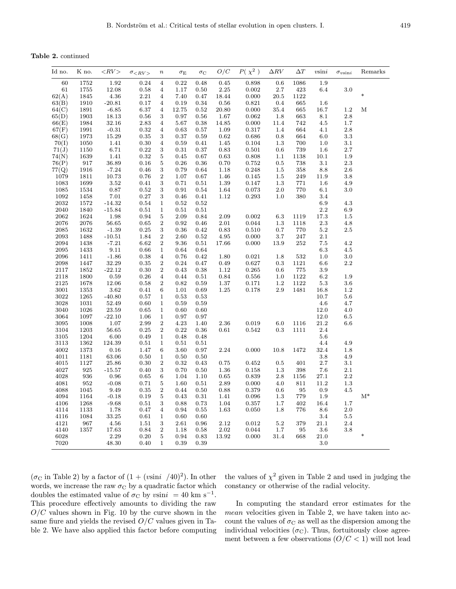Table 2. continued

| Id no.       | K no.        | ${<}RV$             | $\sigma$ <rv></rv> | $\it n$          | $\sigma_{\rm E}$ | $\sigma_{\rm C}$ | O/C           | $P(\ \chi^2\ )$ | $\Delta RV$ | $\Delta T$     | $v$ sin $i$     | $\sigma_{v\sin i}$ | Remarks |
|--------------|--------------|---------------------|--------------------|------------------|------------------|------------------|---------------|-----------------|-------------|----------------|-----------------|--------------------|---------|
| 60           | 1752         | $1.92\,$            | 0.24               | 4                | $0.22\,$         | 0.48             | 0.45          | 0.898           | 0.6         | 1086           | 1.9             |                    |         |
| 61           | $1755\,$     | 12.08               | 0.58               | $\overline{4}$   | 1.17             | 0.50             | $2.25\,$      | 0.002           | 2.7         | $423\,$        | 6.4             | 3.0                |         |
| 62(A)        | 1845         | 4.36                | 2.21               | $\overline{4}$   | 7.40             | 0.47             | 18.44         | 0.000           | 20.5        | 1122           |                 |                    | $\ast$  |
| 63(B)        | 1910         | $-20.81$            | 0.17               | $\overline{4}$   | 0.19             | 0.34             | 0.56          | 0.821           | 0.4         | 665            | 1.6             |                    |         |
| 64(C)        | 1891         | $-6.85$             | 6.37               | $\overline{4}$   | 12.75            | 0.52             | 20.80         | 0.000           | 35.4        | 665            | 16.7            | 1.2                | М       |
| 65(D)        | 1903         | 18.13               | 0.56               | 3                | 0.97             | 0.56             | 1.67          | 0.062           | 1.8         | 663            | 8.1             | 2.8                |         |
| 66(E)        | 1984         | 32.16               | 2.83               | $\overline{4}$   | 5.67             | 0.38             | 14.85         | 0.000           | 11.4        | 742            | 4.5             | 1.7                |         |
| 67(F)        | 1991         | $-0.31$             | 0.32               | $\overline{4}$   | 0.63             | 0.57             | 1.09          | 0.317           | 1.4         | 664            | 4.1             | 2.8                |         |
| 68(G)        | 1973         | $15.29\,$           | 0.35               | 3                | 0.37             | 0.59             | 0.62          | 0.686           | 0.8         | 664            | 6.0             | 3.3                |         |
| 70(I)        | 1050         | 1.41                | 0.30               | $\overline{4}$   | 0.59             | 0.41             | 1.45          | 0.104           | 1.3         | 700            | 1.0             | 3.1                |         |
| 71(J)        | 1150         | 6.71                | 0.22               | 3                | 0.31             | 0.37             | 0.83          | 0.501           | 0.6         | 739            | 1.6             | 2.7                |         |
| 74(N)        | 1639         | 1.41                | 0.32               | $\bf 5$          | $\rm 0.45$       | 0.67             | 0.63          | 0.808           | $1.1\,$     | 1138           | $10.1\,$        | 1.9                |         |
| 76(P)        | 917          | 36.89               | 0.16               | 5                | 0.26             | 0.36             | 0.70          | 0.752           | 0.5         | 738            | 3.1             | 2.3                |         |
| 77(Q)        | 1916         | $-7.24$             | 0.46               | $\,3$            | 0.79             | 0.64             | 1.18          | 0.248           | 1.5         | 358            | 8.8             | 2.6                |         |
| 1079         | 1811         | 10.73               | 0.76               | $\boldsymbol{2}$ | 1.07             | 0.67             | 1.46          | 0.145           | 1.5         | 249            | 11.9            | 3.8                |         |
| 1083         | 1699         | $3.52\,$            | 0.41               | $\,3$            | 0.71             | 0.51             | 1.39          | 0.147           | 1.3         | $771\,$        | 1.6             | 4.9                |         |
| 1085         | 1534         | 0.87                | 0.52               | $\,3$            | 0.91             | 0.54             | 1.64          | 0.073           | 2.0         | 770            | 6.1             | 3.0                |         |
| 1092         | 1458         | 7.01                | 0.27               | 3                | 0.46             | 0.41             | 1.12          | 0.293           | 1.0         | 380            | 3.4             |                    |         |
| 2032         | 1572         | $-14.32$            | 0.54               | $\mathbf{1}$     | 0.52             | 0.52             |               |                 |             |                | 6.9             | 4.3                |         |
| 2040         | 1840         | $-15.84$            | 0.51               | $\mathbf 1$      | 0.51             | 0.51             |               |                 |             |                | $2.2\,$         | 6.9                |         |
| 2062         | 1624         | 1.98                | 0.94               | $\bf 5$          | 2.09             | 0.84             | 2.09          | 0.002           | 6.3         | 1119           | 17.3            | 1.5                |         |
| 2076<br>2085 | 2076<br>1632 | 56.65<br>$-1.39$    | 0.65               | $\,2$<br>3       | 0.92             | 0.46             | 2.01          | 0.044           | 1.3         | 1118           | 2.3             | 4.8                |         |
| 2093         | 1488         |                     | 0.25<br>1.84       | $\,2$            | 0.36<br>2.60     | 0.42             | 0.83          | 0.510<br>0.000  | 0.7         | 770            | 5.2<br>2.1      | 2.5                |         |
| 2094         | 1438         | $-10.51$<br>$-7.21$ |                    | $\boldsymbol{2}$ | 9.36             | $\rm 0.52$       | 4.95<br>17.66 | 0.000           | 3.7         | $247\,$<br>252 |                 | 4.2                |         |
| 2095         | 1433         | 9.11                | 6.62<br>0.66       | $\mathbf{1}$     | 0.64             | 0.51<br>0.64     |               |                 | 13.9        |                | 7.5<br>6.3      | 4.5                |         |
| 2096         | 1411         | $-1.86$             | 0.38               | $\overline{4}$   | 0.76             | 0.42             | 1.80          | 0.021           | 1.8         | 532            | 1.0             | 3.0                |         |
| 2098         | 1447         | 32.29               | 0.35               | $\,2$            | 0.24             | 0.47             | 0.49          | 0.627           | 0.3         | 1121           | 6.6             | 2.2                |         |
| 2117         | 1852         | $-22.12$            | 0.30               | $\sqrt{2}$       | 0.43             | $\rm 0.38$       | 1.12          | 0.265           | 0.6         | $775\,$        | 3.9             |                    |         |
| 2118         | 1800         | 0.59                | 0.26               | $\overline{4}$   | 0.44             | 0.51             | 0.84          | 0.556           | 1.0         | 1122           | 6.2             | 1.9                |         |
| 2125         | 1678         | 12.06               | 0.58               | $\,2$            | 0.82             | 0.59             | 1.37          | 0.171           | 1.2         | 1122           | $5.3\,$         | 3.6                |         |
| 3001         | 1353         | $3.62\,$            | 0.41               | 6                | 1.01             | 0.69             | 1.25          | 0.178           | $2.9\,$     | 1481           | 16.8            | 1.2                |         |
| 3022         | 1265         | $-40.80$            | 0.57               | $\mathbf{1}$     | 0.53             | 0.53             |               |                 |             |                | 10.7            | 5.6                |         |
| 3028         | 1031         | 52.49               | 0.60               | $\mathbf{1}$     | 0.59             | 0.59             |               |                 |             |                | 4.6             | 4.7                |         |
| 3040         | 1026         | 23.59               | 0.65               | $\mathbf{1}$     | 0.60             | 0.60             |               |                 |             |                | 12.0            | 4.0                |         |
| 3064         | 1097         | $-22.10$            | 1.06               | $\mathbf{1}$     | 0.97             | 0.97             |               |                 |             |                | $12.0\,$        | 6.5                |         |
| 3095         | 1008         | 1.07                | 2.99               | $\,2$            | 4.23             | 1.40             | 2.36          | 0.019           | 6.0         | 1116           | 21.2            | 6.6                |         |
| 3104         | 1203         | $56.65\,$           | 0.25               | $\sqrt{2}$       | 0.22             | $\rm 0.36$       | 0.61          | 0.542           | 0.3         | 1111           | 2.4             |                    |         |
| 3105         | 1204         | 6.00                | 0.49               | $\mathbf{1}$     | 0.48             | 0.48             |               |                 |             |                | 5.6             |                    |         |
| 3113         | 1362         | 124.39              | 0.51               | $\mathbf{1}$     | 0.51             | 0.51             |               |                 |             |                | 4.4             | 4.9                |         |
| 4002         | 1373         | 0.16                | 1.47               | $\,6$            | 3.60             | 0.97             | 2.24          | 0.000           | 10.8        | 1472           | 32.4            | 1.8                |         |
| 4011         | 1181         | $63.06\,$           | 0.50               | $\mathbf{1}$     | 0.50             | 0.50             |               |                 |             |                | 3.8             | 4.9                |         |
| 4015         | 1127         | $25.86\,$           | 0.30               | $\,2$            | 0.32             | 0.43             | 0.75          | 0.452           | 0.5         | 401            | 2.7             | 3.1                |         |
| 4027         | 925          | $-15.57$            | 0.40               | $\,3$            | 0.70             | 0.50             | 1.36          | 0.158           | 1.3         | 398            | 7.6             | 2.1                |         |
| 4028         | 936          | $\rm 0.96$          | 0.65               | 6                | 1.04             | 1.10             | 0.65          | 0.839           | $2.8\,$     | 1156           | 27.1            | 2.2                |         |
| 4081         | 952          | $-0.08$             | 0.71               | $\overline{5}$   | 1.60             | 0.51             | 2.89          | 0.000           | 4.0         | 811            | 11.2            | 1.3                |         |
| 4088         | 1045         | 9.49                | 0.35               | $\,2$            | 0.44             | 0.50             | 0.88          | 0.379           | 0.6         | 95             | 0.9             | 4.5                |         |
| 4094         | 1164         | $-0.18$             | $0.19\,$           | 5                | 0.43             | 0.31             | 1.41          | 0.096           | 1.3         | 779            | 1.9             |                    | $M^*$   |
| 4106         | 1268         | $-9.68$             | 0.51               | 3                | 0.88             | 0.73             | 1.04          | 0.357           | 1.7         | 402            | 16.4            | 1.7                |         |
| 4114         | 1133         | 1.78                | 0.47               | $\overline{4}$   | 0.94             | 0.55             | 1.63          | 0.050           | 1.8         | 776            | $\!\!\!\!\!8.6$ | 2.0                |         |
| 4116         | 1084         | 33.25               | 0.61               | $\mathbf{1}$     | 0.60             | 0.60             |               |                 |             |                | 3.4             | 5.5                |         |
| 4121         | 967          | 4.56                | 1.51               | 3                | 2.61             | 0.96             | 2.12          | 0.012           | 5.2         | 379            | 21.1            | 2.4                |         |
| 4140         | 1357         | 17.63               | 0.84               | $\sqrt{2}$       | 1.18             | 0.58             | $2.02\,$      | 0.044           | 1.7         | $\rm 95$       | $3.6\,$         | 3.8                |         |
| 6028         |              | 2.29                | 0.20               | $\bf 5$          | 0.94             | 0.83             | 13.92         | 0.000           | 31.4        | 668            | 21.0            |                    | $\ast$  |
| 7020         |              | 48.30               | 0.40               | $\mathbf{1}$     | 0.39             | 0.39             |               |                 |             |                | 3.0             |                    |         |

 $(\sigma_{\rm C}$  in Table 2) by a factor of  $(1 + (v\sin i)/40)^2)$ . In other words, we increase the raw  $\sigma_C$  by a quadratic factor which doubles the estimated value of  $\sigma_C$  by vsini = 40 km s<sup>-1</sup>. This procedure effectively amounts to dividing the raw  $O/C$  values shown in Fig. 10 by the curve shown in the same fiure and yields the revised  $O/C$  values given in Table 2. We have also applied this factor before computing the values of  $\chi^2$  given in Table 2 and used in judging the constancy or otherwise of the radial velocity.

In computing the standard error estimates for the mean velocities given in Table 2, we have taken into account the values of  $\sigma_{\rm C}$  as well as the dispersion among the individual velocities  $(\sigma_C)$ . Thus, fortuitously close agreement between a few observations  $(O/C < 1)$  will not lead